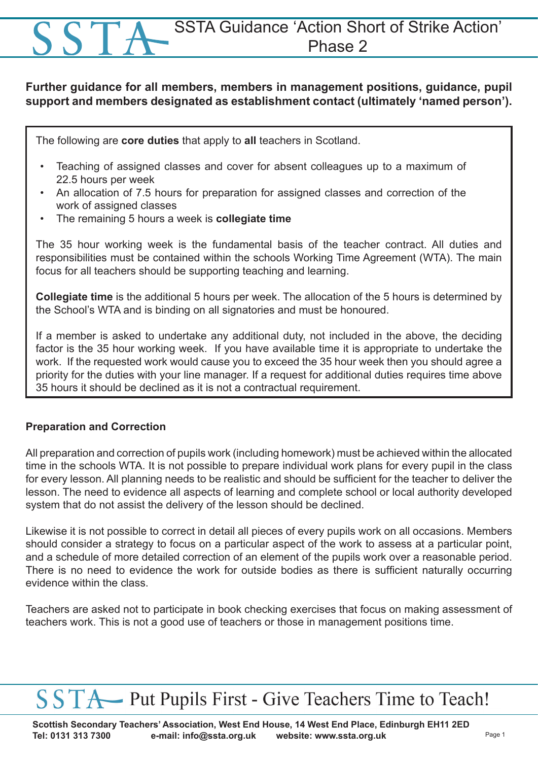### SSTA Guidance 'Action Short of Strike Action' Phase 2

#### **Further guidance for all members, members in management positions, guidance, pupil support and members designated as establishment contact (ultimately 'named person').**

The following are **core duties** that apply to **all** teachers in Scotland.

- Teaching of assigned classes and cover for absent colleagues up to a maximum of 22.5 hours per week
- An allocation of 7.5 hours for preparation for assigned classes and correction of the work of assigned classes
- The remaining 5 hours a week is **collegiate time**

The 35 hour working week is the fundamental basis of the teacher contract. All duties and responsibilities must be contained within the schools Working Time Agreement (WTA). The main focus for all teachers should be supporting teaching and learning.

**Collegiate time** is the additional 5 hours per week. The allocation of the 5 hours is determined by the School's WTA and is binding on all signatories and must be honoured.

If a member is asked to undertake any additional duty, not included in the above, the deciding factor is the 35 hour working week. If you have available time it is appropriate to undertake the work. If the requested work would cause you to exceed the 35 hour week then you should agree a priority for the duties with your line manager. If a request for additional duties requires time above 35 hours it should be declined as it is not a contractual requirement.

#### **Preparation and Correction**

All preparation and correction of pupils work (including homework) must be achieved within the allocated time in the schools WTA. It is not possible to prepare individual work plans for every pupil in the class for every lesson. All planning needs to be realistic and should be sufficient for the teacher to deliver the lesson. The need to evidence all aspects of learning and complete school or local authority developed system that do not assist the delivery of the lesson should be declined.

Likewise it is not possible to correct in detail all pieces of every pupils work on all occasions. Members should consider a strategy to focus on a particular aspect of the work to assess at a particular point, and a schedule of more detailed correction of an element of the pupils work over a reasonable period. There is no need to evidence the work for outside bodies as there is sufficient naturally occurring evidence within the class.

Teachers are asked not to participate in book checking exercises that focus on making assessment of teachers work. This is not a good use of teachers or those in management positions time.

## SSTA Put Pupils First - Give Teachers Time to Teach!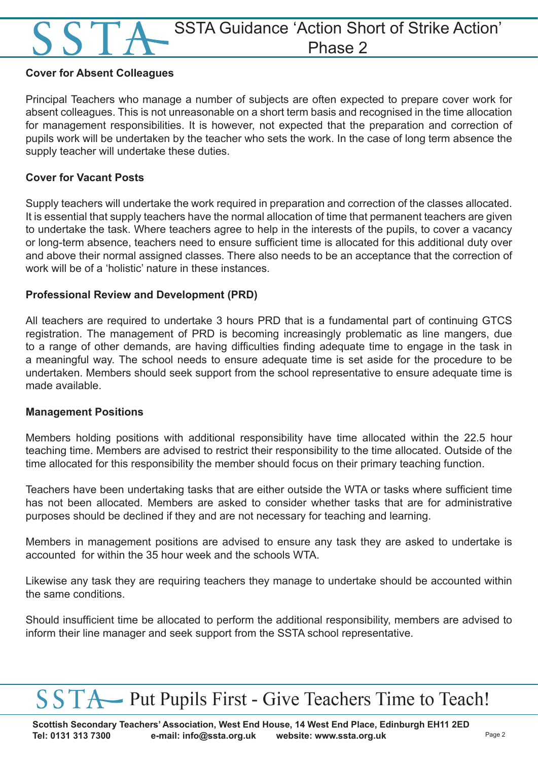### SSTA Guidance 'Action Short of Strike Action' Phase 2

#### **Cover for Absent Colleagues**

Principal Teachers who manage a number of subjects are often expected to prepare cover work for absent colleagues. This is not unreasonable on a short term basis and recognised in the time allocation for management responsibilities. It is however, not expected that the preparation and correction of pupils work will be undertaken by the teacher who sets the work. In the case of long term absence the supply teacher will undertake these duties.

#### **Cover for Vacant Posts**

Supply teachers will undertake the work required in preparation and correction of the classes allocated. It is essential that supply teachers have the normal allocation of time that permanent teachers are given to undertake the task. Where teachers agree to help in the interests of the pupils, to cover a vacancy or long-term absence, teachers need to ensure sufficient time is allocated for this additional duty over and above their normal assigned classes. There also needs to be an acceptance that the correction of work will be of a 'holistic' nature in these instances.

#### **Professional Review and Development (PRD)**

All teachers are required to undertake 3 hours PRD that is a fundamental part of continuing GTCS registration. The management of PRD is becoming increasingly problematic as line mangers, due to a range of other demands, are having difficulties finding adequate time to engage in the task in a meaningful way. The school needs to ensure adequate time is set aside for the procedure to be undertaken. Members should seek support from the school representative to ensure adequate time is made available.

#### **Management Positions**

Members holding positions with additional responsibility have time allocated within the 22.5 hour teaching time. Members are advised to restrict their responsibility to the time allocated. Outside of the time allocated for this responsibility the member should focus on their primary teaching function.

Teachers have been undertaking tasks that are either outside the WTA or tasks where sufficient time has not been allocated. Members are asked to consider whether tasks that are for administrative purposes should be declined if they and are not necessary for teaching and learning.

Members in management positions are advised to ensure any task they are asked to undertake is accounted for within the 35 hour week and the schools WTA.

Likewise any task they are requiring teachers they manage to undertake should be accounted within the same conditions.

Should insufficient time be allocated to perform the additional responsibility, members are advised to inform their line manager and seek support from the SSTA school representative.

# SSTA Put Pupils First - Give Teachers Time to Teach!